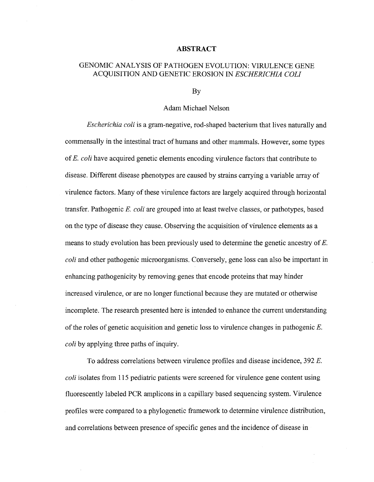## **ABSTRACT**

## GENOMIC ANALYSIS OF PATHOGEN EVOLUTION: VIRULENCE GENE ACQUISITION AND GENETIC EROSION IN *ESCHERICHIA COLI*

By

## Adam Michael Nelson

*Escherichia coli* is a gram-negative, rod-shaped bacterium that lives naturally and commensally in the intestinal tract of humans and other mammals. However, some types of *E. coli* have acquired genetic elements encoding virulence factors that contribute to disease. Different disease phenotypes are caused by strains carrying a variable array of virulence factors. Many of these virulence factors are largely acquired through horizontal transfer. Pathogenic *E. coli* are grouped into at least twelve classes, or pathotypes, based on the type of disease they cause. Observing the acquisition of virulence elements as a means to study evolution has been previously used to determine the genetic ancestry of *E. coli* and other pathogenic microorganisms. Conversely, gene loss can also be important in enhancing pathogenicity by removing genes that encode proteins that may hinder increased virulence, or are no longer functional because they are mutated or otherwise incomplete. The research presented here is intended to enhance the current understanding of the roles of genetic acquisition and genetic loss to virulence changes in pathogenic *E. coli* by applying three paths of inquiry.

To address correlations between virulence profiles and disease incidence, 392 *E. coli* isolates from 115 pediatric patients were screened for virulence gene content using fluorescently labeled PCR amplicons in a capillary based sequencing system. Virulence profiles were compared to a phylogenetic framework to determine virulence distribution, and correlations between presence of specific genes and the incidence of disease in